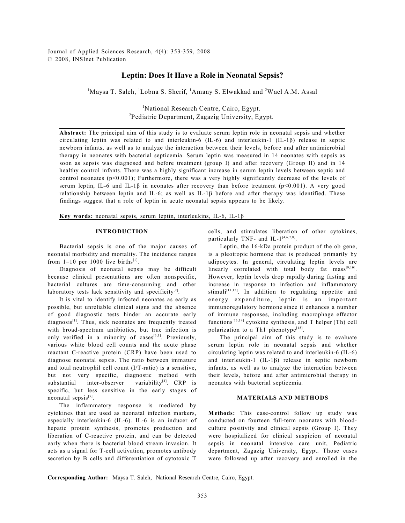Journal of Applied Sciences Research, 4(4): 353-359, 2008 © 2008, INSInet Publication

# **Leptin: Does It Have a Role in Neonatal Sepsis?**

 $M$ aysa T. Saleh, <sup>1</sup>Lobna S. Sherif, <sup>1</sup>Amany S. Elwakkad and <sup>2</sup>Wael A.M. Assal

<sup>1</sup>National Research Centre, Cairo, Egypt. <sup>2</sup>Pediatric Department, Zagazig University, Egypt.

**Abstract:** The principal aim of this study is to evaluate serum leptin role in neonatal sepsis and whether circulating leptin was related to and interleukin-6 (IL-6) and interleukin-1 (IL-1â) release in septic newborn infants, as well as to analyze the interaction between their levels, before and after antimicrobial therapy in neonates with bacterial septicemia. Serum leptin was measured in 14 neonates with sepsis as soon as sepsis was diagnosed and before treatment (group I) and after recovery (Group II) and in 14 healthy control infants. There was a highly significant increase in serum leptin levels between septic and control neonates  $(p<0.001)$ ; Furthermore, there was a very highly significantly decrease of the levels of serum leptin, IL-6 and IL-1 $\beta$  in neonates after recovery than before treatment (p<0.001). A very good relationship between leptin and IL-6; as well as IL-1 $\beta$  before and after therapy was identified. These findings suggest that a role of leptin in acute neonatal sepsis appears to be likely.

**Key words:** neonatal sepsis, serum leptin, interleukins, IL-6, IL-1â

#### **INTRODUCTION**

 Bacterial sepsis is one of the major causes of neonatal morbidity and mortality. The incidence ranges from  $1-10$  per 1000 live births<sup>[1]</sup>.

Diagnosis of neonatal sepsis may be difficult because clinical presentations are often nonspecific, bacterial cultures are time-consuming and other laboratory tests lack sensitivity and specificity $[2]$ .

It is vital to identify infected neonates as early as possible, but unreliable clinical signs and the absence of good diagnostic tests hinder an accurate early  $diagnosis$ <sup>[1]</sup>. Thus, sick neonates are frequently treated with broad-spectrum antibiotics, but true infection is only verified in a minority of cases  $[3,1]$ . Previously, various white blood cell counts and the acute phase reactant C-reactive protein (CRP) have been used to diagnose neonatal sepsis. The ratio between immature and total neutrophil cell count (I/T-ratio) is a sensitive, but not very specific, diagnostic method with substantial inter-observer variability $[4]$ . CRP is specific, but less sensitive in the early stages of neonatal sepsis<sup>[5]</sup>.

The inflammatory response is mediated by cytokines that are used as neonatal infection markers, especially interleukin-6 (IL-6). IL-6 is an inducer of hepatic protein synthesis, promotes production and liberation of C-reactive protein, and can be detected early when there is bacterial blood stream invasion. It acts as a signal for T-cell activation, promotes antibody secretion by B cells and differentiation of cytotoxic T

cells, and stimulates liberation of other cytokines, particularly TNF- and IL- $1^{[4,6,7,8]}$ .

Leptin, the 16-kDa protein product of the ob gene, is a pleotropic hormone that is produced primarily by adipocytes. In general, circulating leptin levels are linearly correlated with total body fat  $mass^{[9,10]}$ . However, leptin levels drop rapidly during fasting and increase in response to infection and inflammatory stimuli $[11,12]$ . In addition to regulating appetite and energy expenditure, leptin is an important immunoregulatory hormone since it enhances a number of immune responses, including macrophage effector functions<sup> $[13,14]$ </sup> cytokine synthesis, and T helper (Th) cell polarization to a Th1 phenotype<sup>[15]</sup>.

The principal aim of this study is to evaluate serum leptin role in neonatal sepsis and whether circulating leptin was related to and interleukin-6 (IL-6) and interleukin-1  $(IL-1β)$  release in septic newborn infants, as well as to analyze the interaction between their levels, before and after antimicrobial therapy in neonates with bacterial septicemia.

### **MATERIALS AND METHODS**

**Methods:** This case-control follow up study was conducted on fourteen full-term neonates with bloodculture positivity and clinical sepsis (Group I). They were hospitalized for clinical suspicion of neonatal sepsis in neonatal intensive care unit, Pediatric department, Zagazig University, Egypt. Those cases were followed up after recovery and enrolled in the

**Corresponding Author:** Maysa T. Saleh, National Research Centre, Cairo, Egypt.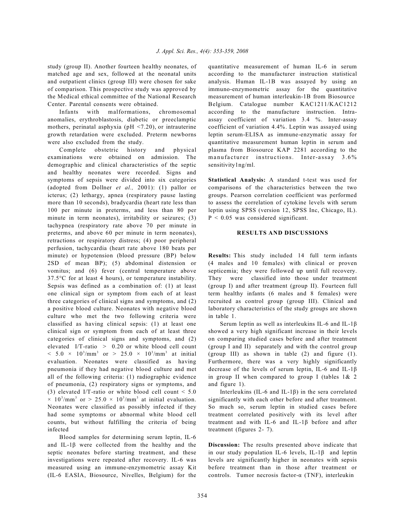study (group II). Another fourteen healthy neonates, of matched age and sex, followed at the neonatal units and outpatient clinics (group III) were chosen for sake of comparison. This prospective study was approved by the Medical ethical committee of the National Research Center. Parental consents were obtained.

Infants with malformations, chromosomal anomalies, erythroblastosis, diabetic or preeclamptic mothers, perinatal asphyxia ( $pH < 7.20$ ), or intrauterine growth retardation were excluded. Preterm newborns were also excluded from the study.

Complete obstetric history and physical examinations were obtained on admission. The demographic and clinical characteristics of the septic and healthy neonates were recorded. Signs and symptoms of sepsis were divided into six categories (adopted from Dollner *et al.,* 2001): (1) pallor or icterus; (2) lethargy, apnea (respiratory pause lasting more than 10 seconds), bradycardia (heart rate less than 100 per minute in preterms, and less than 80 per minute in term neonates), irritability or seizures; (3) tachypnea (respiratory rate above 70 per minute in preterms, and above 60 per minute in term neonates), retractions or respiratory distress; (4) poor peripheral perfusion, tachycardia (heart rate above 180 beats per minute) or hypotension (blood pressure (BP) below 2SD of mean BP); (5) abdominal distension or vomitus; and (6) fever (central temperature above 37.5°C for at least 4 hours), or temperature instability. Sepsis was defined as a combination of: (1) at least one clinical sign or symptom from each of at least three categories of clinical signs and symptoms, and (2) a positive blood culture. Neonates with negative blood culture who met the two following criteria were classified as having clinical sepsis: (1) at least one clinical sign or symptom from each of at least three categories of clinical signs and symptoms, and (2) elevated I/T-ratio  $> 0.20$  or white blood cell count  $< 5.0 \times 10^{3}/\text{mm}^{3}$  or  $> 25.0 \times 10^{3}/\text{mm}^{3}$  at initial evaluation. Neonates were classified as having pneumonia if they had negative blood culture and met all of the following criteria: (1) radiographic evidence of pneumonia, (2) respiratory signs or symptoms, and (3) elevated I/T-ratio or white blood cell count  $\leq 5.0$  $\times$  10<sup>3</sup>/mm<sup>3</sup> or > 25.0  $\times$  10<sup>3</sup>/mm<sup>3</sup> at initial evaluation. Neonates were classified as possibly infected if they had some symptoms or abnormal white blood cell counts, but without fulfilling the criteria of being infected

Blood samples for determining serum leptin, IL-6 and IL-1 $\beta$  were collected from the healthy and the septic neonates before starting treatment, and these investigations were repeated after recovery. IL-6 was measured using an immune-enzymometric assay Kit (IL-6 EASIA, Biosource, Nivelles, Belgium) for the quantitative measurement of human IL-6 in serum according to the manufacturer instruction statistical analysis. Human IL-1B was assayed by using an immuno-enzymometric assay for the quantitative measurement of human interleukin-1B from Biosource Belgium. Catalogue number KAC1211/KAC1212 according to the manufacture instruction. Intraassay coefficient of variation 3.4 %. Inter-assay coefficient of variation 4.4%. Leptin was assayed using leptin serum-ELISA as immune-enzymatic assay for quantitative measurement human leptin in serum and plasma from Biosource KAP 2281 according to the manufacturer instructions. Inter-assay  $3.6\%$ sensitivity1ng/ml.

**Statistical Analysis:** A standard t-test was used for comparisons of the characteristics between the two groups. Pearson correlation coefficient was performed to assess the correlation of cytokine levels with serum leptin using SPSS (version 12, SPSS Inc, Chicago, IL). P < 0.05 was considered significant.

## **RESULTS AND DISCUSSIONS**

**Results:** This study included 14 full term infants (4 males and 10 females) with clinical or proven septicemia; they were followed up until full recovery. They were classified into those under treatment (group I) and after treatment (group II). Fourteen full term healthy infants (6 males and 8 females) were recruited as control group (group III). Clinical and laboratory characteristics of the study groups are shown in table 1.

Serum leptin as well as interleukins IL-6 and IL-1 $\beta$ showed a very high significant increase in their levels on comparing studied cases before and after treatment (group I and II) separately and with the control group (group III) as shown in table (2) and figure (1). Furthermore, there was a very highly significantly decrease of the levels of serum leptin, IL-6 and IL-1â in group II when compared to group I (tables  $1\& 2$ and figure 1).

Interleukins (IL-6 and IL-1 $\beta$ ) in the sera correlated significantly with each other before and after treatment. So much so, serum leptin in studied cases before treatment correlated positively with its level after treatment and with IL-6 and IL-1â before and after treatment (figures 2- 7).

**Discussion:** The results presented above indicate that in our study population IL-6 levels, IL-1 $\beta$  and leptin levels are significantly higher in neonates with sepsis before treatment than in those after treatment or controls. Tumor necrosis factor- $\alpha$  (TNF), interleukin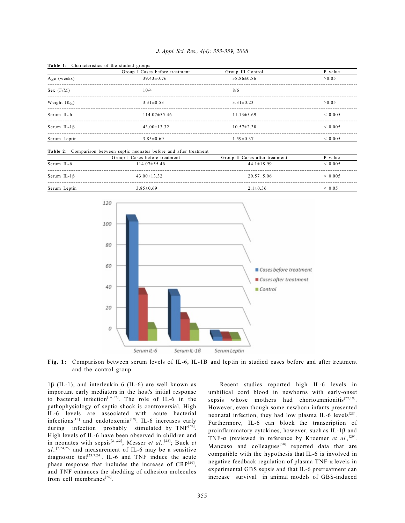### *J. Appl. Sci. Res., 4(4): 353-359, 2008*

|                    | Group I Cases before treatment | Group III Control | P value     |
|--------------------|--------------------------------|-------------------|-------------|
| Age (weeks)        | $39.43 \pm 0.76$               | $38.86 \pm 0.86$  | > 0.05      |
| Sex (F/M)          | 10/4                           | 8/6               |             |
| Weight $(Kg)$      | $3.31 \pm 0.53$                | $3.31 \pm 0.23$   | > 0.05      |
| Serum IL-6         | $114.07 \pm 55.46$             | $11.13\pm5.69$    | ${}< 0.005$ |
| Serum IL-1 $\beta$ | $43.00 \pm 13.32$              | $10.57 \pm 2.38$  | ${}< 0.005$ |
| Serum Leptin       | $3.85 \pm 0.69$                | $1.59 \pm 0.37$   | ${}< 0.005$ |

Table 1: Characteristics of the studied groups

|                    | Group I Cases before treatment | Group II Cases after treatment | P value     |
|--------------------|--------------------------------|--------------------------------|-------------|
| Serum IL-6         | $114.07\pm55.46$               | $44.1 \pm 18.99$               | ${}< 0.005$ |
| Serum IL-1 $\beta$ | $43.00 \pm 13.32$              | $20.57 \pm 5.06$               | ${}< 0.005$ |
| Serum Leptin       | $3.85 \pm 0.69$                | $2.1 \pm 0.36$                 | ${}< 0.05$  |



**Fig. 1:** Comparison between serum levels of IL-6, IL-1B and leptin in studied cases before and after treatment and the control group.

 $1\beta$  (IL-1), and interleukin 6 (IL-6) are well known as important early mediators in the host's initial response to bacterial infection<sup>[16,17]</sup>. The role of IL-6 in the pathophysiology of septic shock is controversial. High IL-6 levels are associated with acute bacterial infections<sup>[18]</sup> and endotoxemia<sup>[19]</sup>. IL-6 increases early during infection probably stimulated by TNF<sup>[20]</sup>. High levels of IL-6 have been observed in children and in neonates with sepsis<sup>[21,22]</sup>, Messer *et al.*,<sup>[23]</sup>; Buck *et*  $al$ ,  $[7,24,25]$  and measurement of IL-6 may be a sensitive diagnostic test<sup>[23,7,24]</sup>. IL-6 and TNF induce the acute phase response that includes the increase of  $CRP^{[20]}$ , and TNF enhances the shedding of adhesion molecules from cell membranes $^{[26]}$ .

Recent studies reported high IL-6 levels in umbilical cord blood in newborns with early-onset sepsis whose mothers had chorioamnionitis<sup>[27,19]</sup>. However, even though some newborn infants presented neonatal infection, they had low plasma IL-6 levels<sup>[28]</sup>. Furthermore, IL-6 can block the transcription of proinflammatory cytokines, however, such as IL-1 $\beta$  and TNF- $\alpha$  (reviewed in reference by Kroemer *et al.*,<sup>[29]</sup>. Mancuso and colleagues $^{[30]}$  reported data that are compatible with the hypothesis that IL-6 is involved in negative feedback regulation of plasma TNF- $\alpha$  levels in experimental GBS sepsis and that IL-6 pretreatment can increase survival in animal models of GBS-induced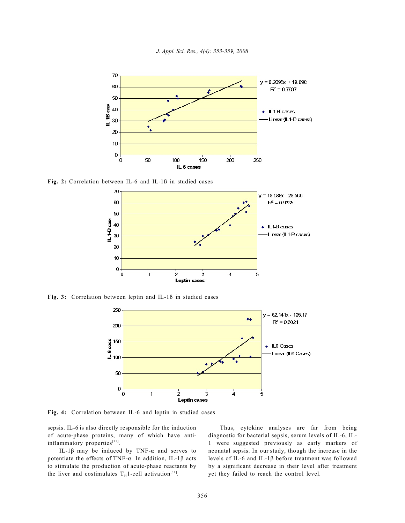



**Fig. 2:** Correlation between IL-6 and IL-1ß in studied cases



**Fig. 3:** Correlation between leptin and IL-1ß in studied cases



**Fig. 4:** Correlation between IL-6 and leptin in studied cases

sepsis. IL-6 is also directly responsible for the induction of acute-phase proteins, many of which have antiinflammatory properties[31].

IL-1 $\beta$  may be induced by TNF- $\alpha$  and serves to potentiate the effects of TNF- $\alpha$ . In addition, IL-1 $\beta$  acts to stimulate the production of acute-phase reactants by the liver and costimulates  $T_H 1$ -cell activation<sup>[31]</sup>.

Thus, cytokine analyses are far from being diagnostic for bacterial sepsis, serum levels of IL-6, IL-1 were suggested previously as early markers of neonatal sepsis. In our study, though the increase in the levels of IL-6 and IL-1â before treatment was followed by a significant decrease in their level after treatment yet they failed to reach the control level.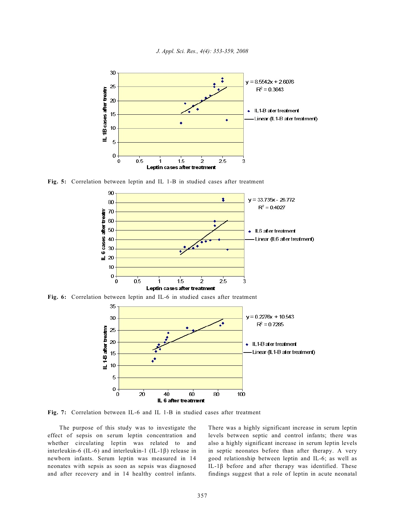

*J. Appl. Sci. Res., 4(4): 353-359, 2008*

**Fig. 5:** Correlation between leptin and IL 1-B in studied cases after treatment



**Fig. 6:** Correlation between leptin and IL-6 in studied cases after treatment



**Fig. 7:** Correlation between IL-6 and IL 1-B in studied cases after treatment

The purpose of this study was to investigate the effect of sepsis on serum leptin concentration and whether circulating leptin was related to and interleukin-6 (IL-6) and interleukin-1 (IL-1 $\beta$ ) release in newborn infants. Serum leptin was measured in 14 neonates with sepsis as soon as sepsis was diagnosed and after recovery and in 14 healthy control infants. There was a highly significant increase in serum leptin levels between septic and control infants; there was also a highly significant increase in serum leptin levels in septic neonates before than after therapy. A very good relationship between leptin and IL-6; as well as IL-1 $\beta$  before and after therapy was identified. These findings suggest that a role of leptin in acute neonatal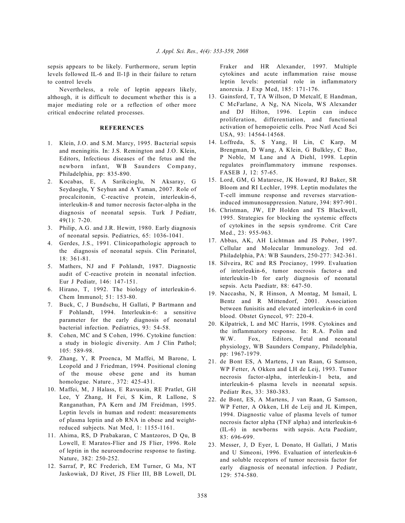sepsis appears to be likely. Furthermore, serum leptin levels followed IL-6 and Il-1 $\beta$  in their failure to return to control levels

Nevertheless, a role of leptin appears likely, although, it is difficult to document whether this is a major mediating role or a reflection of other more critical endocrine related processes.

## **REFERENCES**

- 1. Klein, J.O. and S.M. Marcy, 1995. Bacterial sepsis and meningitis. In: J.S. Remington and J.O. Klein, Editors, Infectious diseases of the fetus and the newborn infant, WB Saunders Company, Philadelphia, pp: 835-890.
- 2. Kocabas, E, A Sarikcioglu, N Aksaray, G Seydaoglu, Y Seyhun and A Yaman, 2007. Role of procalcitonin, C-reactive protein, interleukin-6, interleukin-8 and tumor necrosis factor-alpha in the diagnosis of neonatal sepsis. Turk J Pediatr, 49(1): 7-20.
- 3. Philip, A.G. and J.R. Hewitt, 1980. Early diagnosis of neonatal sepsis. Pediatrics, 65: 1036-1041.
- 4. Gerdes, J.S., 1991. Clinicopathologic approach to the diagnosis of neonatal sepsis. Clin Perinatol, 18: 361-81.
- 5. Mathers, NJ and F Pohlandt, 1987. Diagnostic audit of C-reactive protein in neonatal infection. Eur J Pediatr, 146: 147-151.
- 6. Hirano, T, 1992. The biology of interleukin-6. Chem Immunol; 51: 153-80.
- 7. Buck, C, J Bundschu, H Gallati, P Bartmann and F Pohlandt, 1994. Interleukin-6: a sensitive parameter for the early diagnosis of neonatal bacterial infection. Pediatrics, 93: 54-58.
- 8. Cohen, MC and S Cohen, 1996. Cytokine function: a study in biologic diversity. Am J Clin Pathol; 105: 589-98.
- 9. Zhang, Y, R Proenca, M Maffei, M Barone, L Leopold and J Friedman, 1994. Positional cloning of the mouse obese gene and its human homologue. Nature., 372: 425-431.
- 10. Maffei, M, J Halass, E Ravussin, RE Pratlet, GH Lee, Y Zhang, H Fei, S Kim, R Lallone, S Ranganathan, PA Kern and JM Freidman, 1995. Leptin levels in human and rodent: measurements of plasma leptin and ob RNA in obese and weightreduced subjects. Nat Med, 1: 1155-1161.
- 11. Ahima, RS, D Prabakaran, C Mantzoros, D Qu, B Lowell, E Maratos-Flier and JS Flier, 1996. Role of leptin in the neuroendocrine response to fasting. Nature, 382: 250-252.
- 12. Sarraf, P, RC Frederich, EM Turner, G Ma, NT Jaskowiak, DJ Rivet, JS Flier III, BB Lowell, DL

Fraker and HR Alexander, 1997. Multiple cytokines and acute inflammation raise mouse leptin levels: potential role in inflammatory anorexia. J Exp Med, 185: 171-176.

- 13. Gainsford, T, TA Willson, D Metcalf, E Handman, C McFarlane, A Ng, NA Nicola, WS Alexander and DJ Hilton, 1996. Leptin can induce proliferation, differentiation, and functional activation of hemopoietic cells. Proc Natl Acad Sci USA, 93: 14564-14568.
- 14. Loffreda, S, S Yang, H Lin, C Karp, M Brengman, D Wang, A Klein, G Bulkley, C Bao, P Noble, M Lane and A Diehl, 1998. Leptin regulates proinflammatory immune responses. FASEB J, 12: 57-65.
- 15. Lord, GM, G Matarese, JK Howard, RJ Baker, SR Bloom and RI Lechler, 1998. Leptin modulates the T-cell immune response and reverses starvationinduced immunosuppression. Nature, 394: 897-901.
- 16. Christman, JW, EP Holden and TS Blackwell, 1995. Strategies for blocking the systemic effects of cytokines in the sepsis syndrome. Crit Care Med., 23: 955-963.
- 17. Abbas, AK, AH Lichtman and JS Pober, 1997. Cellular and Molecular Immunology. 3rd ed. Philadelphia, PA: WB Saunders, 250-277: 342-361.
- 18. Silveira, RC and RS Procianoy, 1999. Evaluation of interleukin-6, tumor necrosis factor-a and interleukin-1b for early diagnosis of neonatal sepsis. Acta Paediatr, 88: 647-50.
- 19. Naccasha, N, R Hinson, A Montag, M Ismail, L Bentz and R Mittendorf, 2001. Association between funisitis and elevated interleukin-6 in cord blood. Obstet Gynecol, 97: 220-4.
- 20. Kilpatrick, L and MC Harris, 1998. Cytokines and the inflammatory response. In: R.A. Polin and W.W. Fox, Editors, Fetal and neonatal physiology, WB Saunders Company, Philadelphia, pp: 1967-1979.
- 21. de Bont ES, A Martens, J van Raan, G Samson, WP Fetter, A Okken and LH de Leij, 1993. Tumor necrosis factor-alpha, interleukin-1 beta, and interleukin-6 plasma levels in neonatal sepsis. Pediatr Res, 33: 380-383.
- 22. de Bont, ES, A Martens, J van Raan, G Samson, WP Fetter, A Okken, LH de Leij and JL Kimpen, 1994. Diagnostic value of plasma levels of tumor necrosis factor alpha (TNF alpha) and interleukin-6 (IL-6) in newborns with sepsis. Acta Paediatr, 83: 696-699.
- 23. Messer, J, D Eyer, L Donato, H Gallati, J Matis and U Simeoni, 1996. Evaluation of interleukin-6 and soluble receptors of tumor necrosis factor for early diagnosis of neonatal infection. J Pediatr, 129: 574-580.